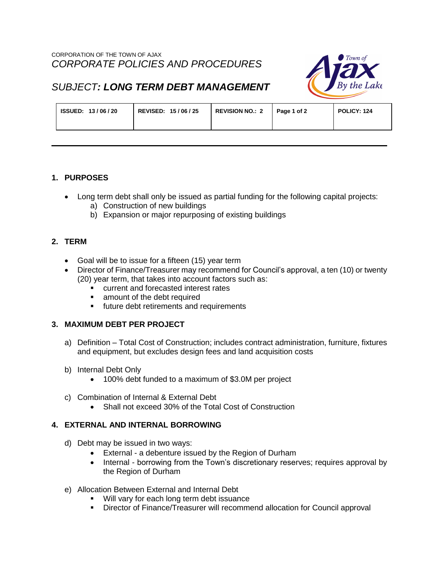

# *SUBJECT: LONG TERM DEBT MANAGEMENT*

| REVISED: 15/06/25<br>ISSUED: 13/06/20 | <b>REVISION NO.: 2</b> | Page 1 of 2 | POLICY: 124 |
|---------------------------------------|------------------------|-------------|-------------|
|---------------------------------------|------------------------|-------------|-------------|

### **1. PURPOSES**

- Long term debt shall only be issued as partial funding for the following capital projects:
	- a) Construction of new buildings
	- b) Expansion or major repurposing of existing buildings

### **2. TERM**

- Goal will be to issue for a fifteen (15) year term
- Director of Finance/Treasurer may recommend for Council's approval, a ten (10) or twenty (20) year term, that takes into account factors such as:
	- **EXECUTE:** current and forecasted interest rates
	- **Examount of the debt required**
	- **future debt retirements and requirements**

# **3. MAXIMUM DEBT PER PROJECT**

- a) Definition Total Cost of Construction; includes contract administration, furniture, fixtures and equipment, but excludes design fees and land acquisition costs
- b) Internal Debt Only
	- 100% debt funded to a maximum of \$3.0M per project
- c) Combination of Internal & External Debt
	- Shall not exceed 30% of the Total Cost of Construction

# **4. EXTERNAL AND INTERNAL BORROWING**

- d) Debt may be issued in two ways:
	- External a debenture issued by the Region of Durham
	- Internal borrowing from the Town's discretionary reserves; requires approval by the Region of Durham
- e) Allocation Between External and Internal Debt
	- Will vary for each long term debt issuance
	- Director of Finance/Treasurer will recommend allocation for Council approval